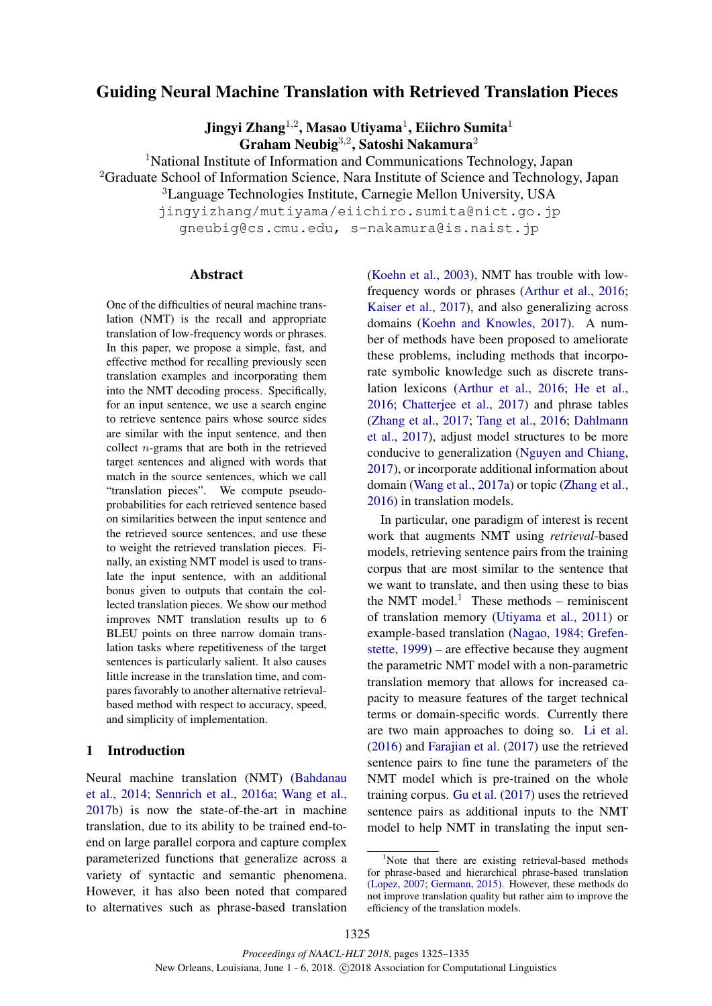# Guiding Neural Machine Translation with Retrieved Translation Pieces

Jingyi Zhang $^{1,2}$ , Masao Utiyama $^{1}$ , Eiichro Sumita $^{1}$ Graham Neubig<sup>3,2</sup>, Satoshi Nakamura<sup>2</sup>

<sup>1</sup>National Institute of Information and Communications Technology, Japan <sup>2</sup>Graduate School of Information Science, Nara Institute of Science and Technology, Japan

<sup>3</sup>Language Technologies Institute, Carnegie Mellon University, USA

jingyizhang/mutiyama/eiichiro.sumita@nict.go.jp gneubig@cs.cmu.edu, s-nakamura@is.naist.jp

### Abstract

One of the difficulties of neural machine translation (NMT) is the recall and appropriate translation of low-frequency words or phrases. In this paper, we propose a simple, fast, and effective method for recalling previously seen translation examples and incorporating them into the NMT decoding process. Specifically, for an input sentence, we use a search engine to retrieve sentence pairs whose source sides are similar with the input sentence, and then collect n-grams that are both in the retrieved target sentences and aligned with words that match in the source sentences, which we call "translation pieces". We compute pseudoprobabilities for each retrieved sentence based on similarities between the input sentence and the retrieved source sentences, and use these to weight the retrieved translation pieces. Finally, an existing NMT model is used to translate the input sentence, with an additional bonus given to outputs that contain the collected translation pieces. We show our method improves NMT translation results up to 6 BLEU points on three narrow domain translation tasks where repetitiveness of the target sentences is particularly salient. It also causes little increase in the translation time, and compares favorably to another alternative retrievalbased method with respect to accuracy, speed, and simplicity of implementation.

### 1 Introduction

Neural machine translation (NMT) (Bahdanau et al., 2014; Sennrich et al., 2016a; Wang et al., 2017b) is now the state-of-the-art in machine translation, due to its ability to be trained end-toend on large parallel corpora and capture complex parameterized functions that generalize across a variety of syntactic and semantic phenomena. However, it has also been noted that compared to alternatives such as phrase-based translation (Koehn et al., 2003), NMT has trouble with lowfrequency words or phrases (Arthur et al., 2016; Kaiser et al., 2017), and also generalizing across domains (Koehn and Knowles, 2017). A number of methods have been proposed to ameliorate these problems, including methods that incorporate symbolic knowledge such as discrete translation lexicons (Arthur et al., 2016; He et al., 2016; Chatterjee et al., 2017) and phrase tables (Zhang et al., 2017; Tang et al., 2016; Dahlmann et al., 2017), adjust model structures to be more conducive to generalization (Nguyen and Chiang, 2017), or incorporate additional information about domain (Wang et al., 2017a) or topic (Zhang et al., 2016) in translation models.

In particular, one paradigm of interest is recent work that augments NMT using *retrieval*-based models, retrieving sentence pairs from the training corpus that are most similar to the sentence that we want to translate, and then using these to bias the NMT model. $<sup>1</sup>$  These methods – reminiscent</sup> of translation memory (Utiyama et al., 2011) or example-based translation (Nagao, 1984; Grefenstette, 1999) – are effective because they augment the parametric NMT model with a non-parametric translation memory that allows for increased capacity to measure features of the target technical terms or domain-specific words. Currently there are two main approaches to doing so. Li et al. (2016) and Farajian et al. (2017) use the retrieved sentence pairs to fine tune the parameters of the NMT model which is pre-trained on the whole training corpus. Gu et al. (2017) uses the retrieved sentence pairs as additional inputs to the NMT model to help NMT in translating the input sen-

<sup>&</sup>lt;sup>1</sup>Note that there are existing retrieval-based methods for phrase-based and hierarchical phrase-based translation (Lopez, 2007; Germann, 2015). However, these methods do not improve translation quality but rather aim to improve the efficiency of the translation models.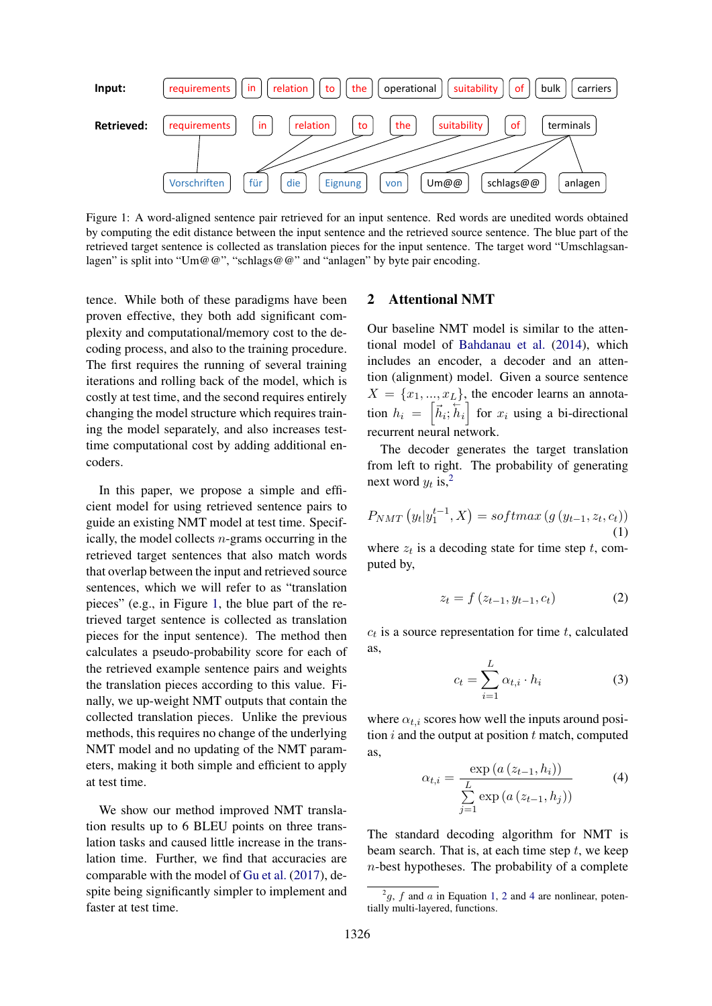

Figure 1: A word-aligned sentence pair retrieved for an input sentence. Red words are unedited words obtained by computing the edit distance between the input sentence and the retrieved source sentence. The blue part of the retrieved target sentence is collected as translation pieces for the input sentence. The target word "Umschlagsanlagen" is split into "Um@@", "schlags@@" and "anlagen" by byte pair encoding.

tence. While both of these paradigms have been proven effective, they both add significant complexity and computational/memory cost to the decoding process, and also to the training procedure. The first requires the running of several training iterations and rolling back of the model, which is costly at test time, and the second requires entirely changing the model structure which requires training the model separately, and also increases testtime computational cost by adding additional encoders.

In this paper, we propose a simple and efficient model for using retrieved sentence pairs to guide an existing NMT model at test time. Specifically, the model collects  $n$ -grams occurring in the retrieved target sentences that also match words that overlap between the input and retrieved source sentences, which we will refer to as "translation pieces" (e.g., in Figure 1, the blue part of the retrieved target sentence is collected as translation pieces for the input sentence). The method then calculates a pseudo-probability score for each of the retrieved example sentence pairs and weights the translation pieces according to this value. Finally, we up-weight NMT outputs that contain the collected translation pieces. Unlike the previous methods, this requires no change of the underlying NMT model and no updating of the NMT parameters, making it both simple and efficient to apply at test time.

We show our method improved NMT translation results up to 6 BLEU points on three translation tasks and caused little increase in the translation time. Further, we find that accuracies are comparable with the model of Gu et al. (2017), despite being significantly simpler to implement and faster at test time.

# 2 Attentional NMT

Our baseline NMT model is similar to the attentional model of Bahdanau et al. (2014), which includes an encoder, a decoder and an attention (alignment) model. Given a source sentence  $X = \{x_1, ..., x_L\}$ , the encoder learns an annotation  $h_i = \left[\vec{h}_i; \vec{h}_i\right]$  for  $x_i$  using a bi-directional recurrent neural network.

The decoder generates the target translation from left to right. The probability of generating next word  $y_t$  is,<sup>2</sup>

$$
P_{NMT}(y_t|y_1^{t-1}, X) = softmax(g(y_{t-1}, z_t, c_t))
$$
\n(1)

where  $z_t$  is a decoding state for time step  $t$ , computed by,

$$
z_t = f(z_{t-1}, y_{t-1}, c_t)
$$
 (2)

 $c_t$  is a source representation for time  $t$ , calculated as,

$$
c_t = \sum_{i=1}^{L} \alpha_{t,i} \cdot h_i \tag{3}
$$

where  $\alpha_{t,i}$  scores how well the inputs around position  $i$  and the output at position  $t$  match, computed as,

$$
\alpha_{t,i} = \frac{\exp(a(z_{t-1}, h_i))}{\sum\limits_{j=1}^{L} \exp(a(z_{t-1}, h_j))}
$$
(4)

The standard decoding algorithm for NMT is beam search. That is, at each time step  $t$ , we keep  $n$ -best hypotheses. The probability of a complete

 $^{2}g$ , f and a in Equation 1, 2 and 4 are nonlinear, potentially multi-layered, functions.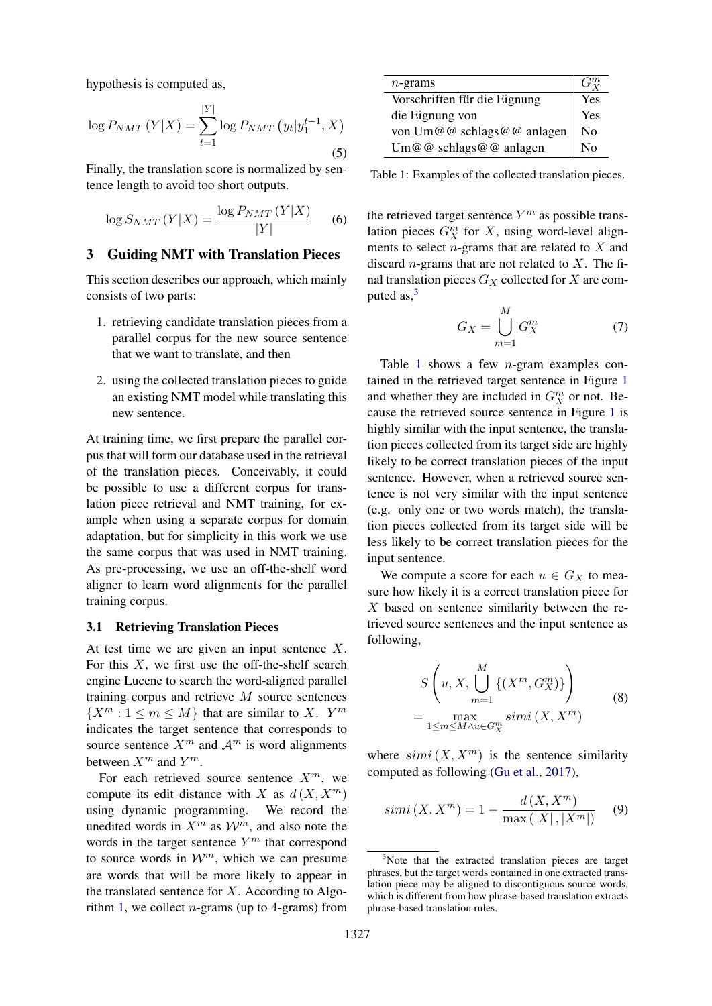hypothesis is computed as,

$$
\log P_{NMT}(Y|X) = \sum_{t=1}^{|Y|} \log P_{NMT}(y_t|y_1^{t-1}, X)
$$
\n(5)

Finally, the translation score is normalized by sentence length to avoid too short outputs.

$$
\log S_{NMT}\left(Y|X\right) = \frac{\log P_{NMT}\left(Y|X\right)}{|Y|} \qquad (6)
$$

# 3 Guiding NMT with Translation Pieces

This section describes our approach, which mainly consists of two parts:

- 1. retrieving candidate translation pieces from a parallel corpus for the new source sentence that we want to translate, and then
- 2. using the collected translation pieces to guide an existing NMT model while translating this new sentence.

At training time, we first prepare the parallel corpus that will form our database used in the retrieval of the translation pieces. Conceivably, it could be possible to use a different corpus for translation piece retrieval and NMT training, for example when using a separate corpus for domain adaptation, but for simplicity in this work we use the same corpus that was used in NMT training. As pre-processing, we use an off-the-shelf word aligner to learn word alignments for the parallel training corpus.

#### 3.1 Retrieving Translation Pieces

At test time we are given an input sentence X. For this  $X$ , we first use the off-the-shelf search engine Lucene to search the word-aligned parallel training corpus and retrieve  $M$  source sentences  $\{X^m : 1 \leq m \leq M\}$  that are similar to X.  $Y^m$ indicates the target sentence that corresponds to source sentence  $X^m$  and  $\mathcal{A}^m$  is word alignments between  $X^m$  and  $Y^m$ .

For each retrieved source sentence  $X^m$ , we compute its edit distance with X as  $d(X, X^m)$ using dynamic programming. We record the unedited words in  $X^m$  as  $\mathcal{W}^m$ , and also note the words in the target sentence  $Y^m$  that correspond to source words in  $\mathcal{W}^m$ , which we can presume are words that will be more likely to appear in the translated sentence for  $X$ . According to Algorithm 1, we collect *n*-grams (up to 4-grams) from

| $n$ -grams                   |                |
|------------------------------|----------------|
| Vorschriften für die Eignung | Yes            |
| die Eignung von              | Yes            |
| von Um@@ schlags@@ anlagen   | N <sub>0</sub> |
| Um@@ schlags@@ anlagen       | Nο             |

Table 1: Examples of the collected translation pieces.

the retrieved target sentence  $Y^m$  as possible translation pieces  $G_X^m$  for  $X$ , using word-level alignments to select  $n$ -grams that are related to  $X$  and discard *n*-grams that are not related to  $X$ . The final translation pieces  $G_X$  collected for X are computed as, $3$ 

$$
G_X = \bigcup_{m=1}^{M} G_X^m \tag{7}
$$

Table 1 shows a few  $n$ -gram examples contained in the retrieved target sentence in Figure 1 and whether they are included in  $G_X^m$  or not. Because the retrieved source sentence in Figure 1 is highly similar with the input sentence, the translation pieces collected from its target side are highly likely to be correct translation pieces of the input sentence. However, when a retrieved source sentence is not very similar with the input sentence (e.g. only one or two words match), the translation pieces collected from its target side will be less likely to be correct translation pieces for the input sentence.

We compute a score for each  $u \in G_X$  to measure how likely it is a correct translation piece for  $X$  based on sentence similarity between the retrieved source sentences and the input sentence as following,

$$
S\left(u, X, \bigcup_{m=1}^{M} \{(X^m, G_X^m)\}\right)
$$
  
= 
$$
\max_{1 \le m \le M \wedge u \in G_X^m} simi(X, X^m)
$$
 (8)

where  $simi(X, X^m)$  is the sentence similarity computed as following (Gu et al., 2017),

$$
simi(X, X^m) = 1 - \frac{d(X, X^m)}{\max(|X|, |X^m|)} \quad (9)
$$

<sup>&</sup>lt;sup>3</sup>Note that the extracted translation pieces are target phrases, but the target words contained in one extracted translation piece may be aligned to discontiguous source words, which is different from how phrase-based translation extracts phrase-based translation rules.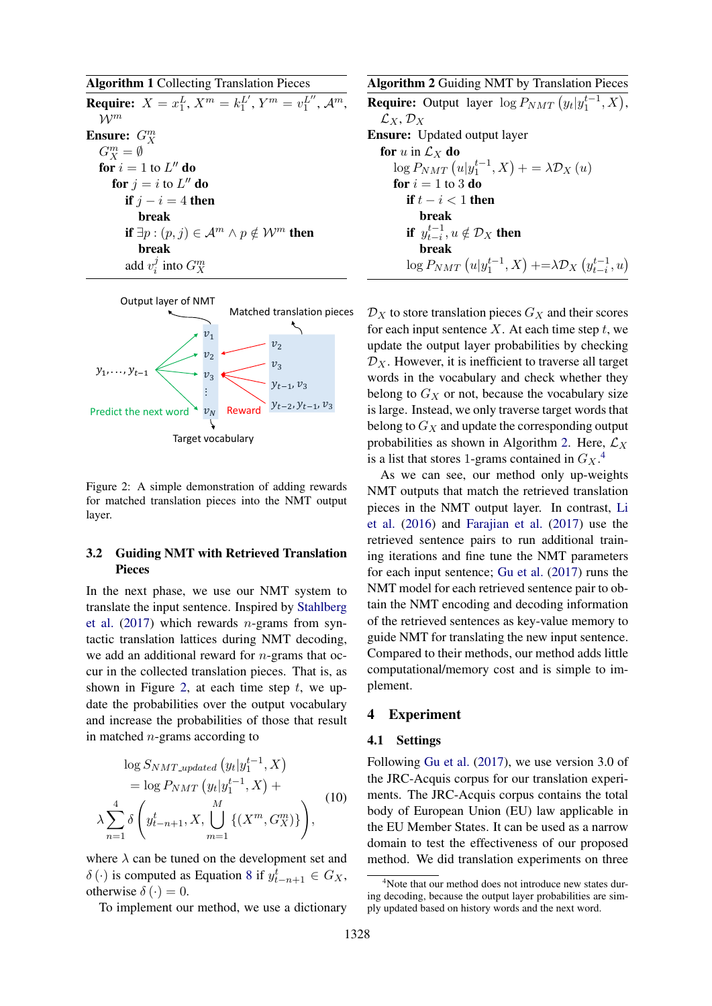Algorithm 1 Collecting Translation Pieces **Require:**  $X = x_1^L$ ,  $X^m = k_1^{L'}$ ,  $Y^m = v_1^{L''}$ ,  $\mathcal{A}^m$ ,  $\mathcal{W}^m$ Ensure:  $G_X^m$  $G_X^m = \emptyset$ for  $i=1$  to  $L''$  do for  $j=i$  to  $L''$  do if  $j - i = 4$  then break if  $\exists p : (p, j) \in \mathcal{A}^m \land p \notin \mathcal{W}^m$  then break add  $v_i^j$  $i$  into  $G_X^m$ 



Figure 2: A simple demonstration of adding rewards for matched translation pieces into the NMT output layer.

# 3.2 Guiding NMT with Retrieved Translation Pieces

In the next phase, we use our NMT system to translate the input sentence. Inspired by Stahlberg et al.  $(2017)$  which rewards *n*-grams from syntactic translation lattices during NMT decoding, we add an additional reward for  $n$ -grams that occur in the collected translation pieces. That is, as shown in Figure 2, at each time step  $t$ , we update the probabilities over the output vocabulary and increase the probabilities of those that result in matched n-grams according to

$$
\log S_{NMT\_updated}(y_t|y_1^{t-1}, X) = \log P_{NMT}(y_t|y_1^{t-1}, X) + \lambda \sum_{n=1}^{4} \delta \left( y_{t-n+1}^t, X, \bigcup_{m=1}^{M} \{ (X^m, G_X^m) \} \right), \tag{10}
$$

where  $\lambda$  can be tuned on the development set and  $\delta(\cdot)$  is computed as Equation 8 if  $y_{t-n+1}^t \in G_X$ , otherwise  $\delta(\cdot) = 0$ .

To implement our method, we use a dictionary

Algorithm 2 Guiding NMT by Translation Pieces **Require:** Output layer  $\log P_{NMT}(y_t|y_1^{t-1}, X)$ ,  $\mathcal{L}_X, \mathcal{D}_X$ Ensure: Updated output layer for u in  $\mathcal{L}_X$  do  $\log P_{NMT}\left(u|y_1^{t-1},X\right)+=\lambda \mathcal{D}_X\left(u\right)$ for  $i = 1$  to 3 do if  $t - i < 1$  then break if  $y_{t-i}^{t-1}, u \notin \mathcal{D}_X$  then break  $\log P_{NMT}\left(u|y_1^{t-1},X\right) + \geq \lambda \mathcal{D}_X\left(y_{t-i}^{t-1},u\right)$ 

 $\mathcal{D}_X$  to store translation pieces  $G_X$  and their scores for each input sentence  $X$ . At each time step  $t$ , we update the output layer probabilities by checking  $\mathcal{D}_X$ . However, it is inefficient to traverse all target words in the vocabulary and check whether they belong to  $G_X$  or not, because the vocabulary size is large. Instead, we only traverse target words that belong to  $G_X$  and update the corresponding output probabilities as shown in Algorithm 2. Here,  $\mathcal{L}_X$ is a list that stores 1-grams contained in  $G_X$ <sup>4</sup>.

As we can see, our method only up-weights NMT outputs that match the retrieved translation pieces in the NMT output layer. In contrast, Li et al. (2016) and Farajian et al. (2017) use the retrieved sentence pairs to run additional training iterations and fine tune the NMT parameters for each input sentence; Gu et al. (2017) runs the NMT model for each retrieved sentence pair to obtain the NMT encoding and decoding information of the retrieved sentences as key-value memory to guide NMT for translating the new input sentence. Compared to their methods, our method adds little computational/memory cost and is simple to implement.

#### 4 Experiment

#### 4.1 Settings

Following Gu et al. (2017), we use version 3.0 of the JRC-Acquis corpus for our translation experiments. The JRC-Acquis corpus contains the total body of European Union (EU) law applicable in the EU Member States. It can be used as a narrow domain to test the effectiveness of our proposed method. We did translation experiments on three

<sup>&</sup>lt;sup>4</sup>Note that our method does not introduce new states during decoding, because the output layer probabilities are simply updated based on history words and the next word.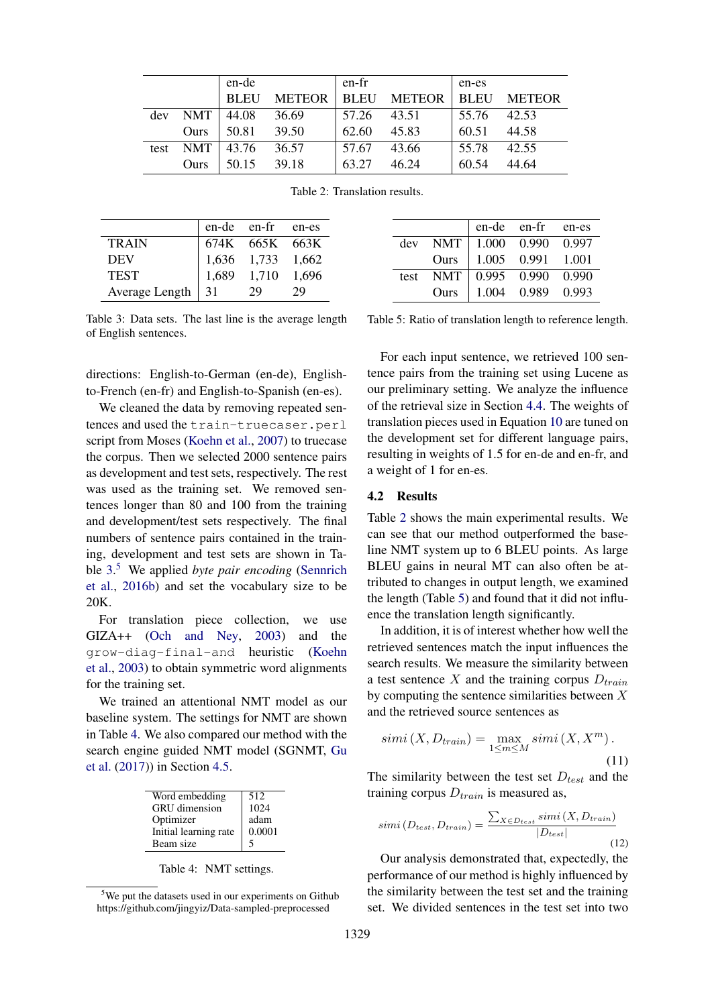|      |             | en-de       |               | en-fr       |               | en-es       |               |
|------|-------------|-------------|---------------|-------------|---------------|-------------|---------------|
|      |             | <b>BLEU</b> | <b>METEOR</b> | <b>BLEU</b> | <b>METEOR</b> | <b>BLEU</b> | <b>METEOR</b> |
| dev  | <b>NMT</b>  | 44.08       | 36.69         | 57.26       | 43.51         | 55.76       | 42.53         |
|      | Ours        | 50.81       | 39.50         | 62.60       | 45.83         | 60.51       | 44.58         |
| test | <b>NMT</b>  | 43.76       | 36.57         | 57.67       | 43.66         | 55.78       | 42.55         |
|      | <b>Ours</b> | 50.15       | 39.18         | 63.27       | 46.24         | 60.54       | 44.64         |

Table 2: Translation results.

|                     |       | en-de en-fr en-es |       |
|---------------------|-------|-------------------|-------|
| <b>TRAIN</b>        |       | 674K 665K 663K    |       |
| <b>DEV</b>          |       | 1,636 1,733 1,662 |       |
| <b>TEST</b>         | 1,689 | 1,710             | 1.696 |
| Average Length   31 |       | 29                | 29    |

Table 3: Data sets. The last line is the average length of English sentences.

directions: English-to-German (en-de), Englishto-French (en-fr) and English-to-Spanish (en-es).

We cleaned the data by removing repeated sentences and used the train-truecaser.perl script from Moses (Koehn et al., 2007) to truecase the corpus. Then we selected 2000 sentence pairs as development and test sets, respectively. The rest was used as the training set. We removed sentences longer than 80 and 100 from the training and development/test sets respectively. The final numbers of sentence pairs contained in the training, development and test sets are shown in Table 3. <sup>5</sup> We applied *byte pair encoding* (Sennrich et al., 2016b) and set the vocabulary size to be 20K.

For translation piece collection, we use GIZA++ (Och and Ney, 2003) and the grow-diag-final-and heuristic (Koehn et al., 2003) to obtain symmetric word alignments for the training set.

We trained an attentional NMT model as our baseline system. The settings for NMT are shown in Table 4. We also compared our method with the search engine guided NMT model (SGNMT, Gu et al. (2017)) in Section 4.5.

| Word embedding        | 512    |
|-----------------------|--------|
| <b>GRU</b> dimension  | 1024   |
| Optimizer             | adam   |
| Initial learning rate | 0.0001 |
| Beam size             | 5      |

Table 4: NMT settings.

|      |            | en-de en-fr |             | en-es   |
|------|------------|-------------|-------------|---------|
| dev  | <b>NMT</b> | 1.000       | 0.990       | 0.997   |
|      | Ours       | 1.005 0.991 |             | - 1.001 |
| test | <b>NMT</b> |             | 0.995 0.990 | 0.990   |
|      | Ours       |             | 1.004 0.989 | 0.993   |

Table 5: Ratio of translation length to reference length.

For each input sentence, we retrieved 100 sentence pairs from the training set using Lucene as our preliminary setting. We analyze the influence of the retrieval size in Section 4.4. The weights of translation pieces used in Equation 10 are tuned on the development set for different language pairs, resulting in weights of 1.5 for en-de and en-fr, and a weight of 1 for en-es.

#### 4.2 Results

Table 2 shows the main experimental results. We can see that our method outperformed the baseline NMT system up to 6 BLEU points. As large BLEU gains in neural MT can also often be attributed to changes in output length, we examined the length (Table 5) and found that it did not influence the translation length significantly.

In addition, it is of interest whether how well the retrieved sentences match the input influences the search results. We measure the similarity between a test sentence X and the training corpus  $D_{train}$ by computing the sentence similarities between  $X$ and the retrieved source sentences as

$$
simi(X, D_{train}) = \max_{1 \le m \le M} simi(X, X^m).
$$
\n(11)

The similarity between the test set  $D_{test}$  and the training corpus  $D_{train}$  is measured as,

$$
simi(D_{test}, D_{train}) = \frac{\sum_{X \in D_{test}} simi(X, D_{train})}{|D_{test}|}
$$
\n(12)

Our analysis demonstrated that, expectedly, the performance of our method is highly influenced by the similarity between the test set and the training set. We divided sentences in the test set into two

<sup>&</sup>lt;sup>5</sup>We put the datasets used in our experiments on Github https://github.com/jingyiz/Data-sampled-preprocessed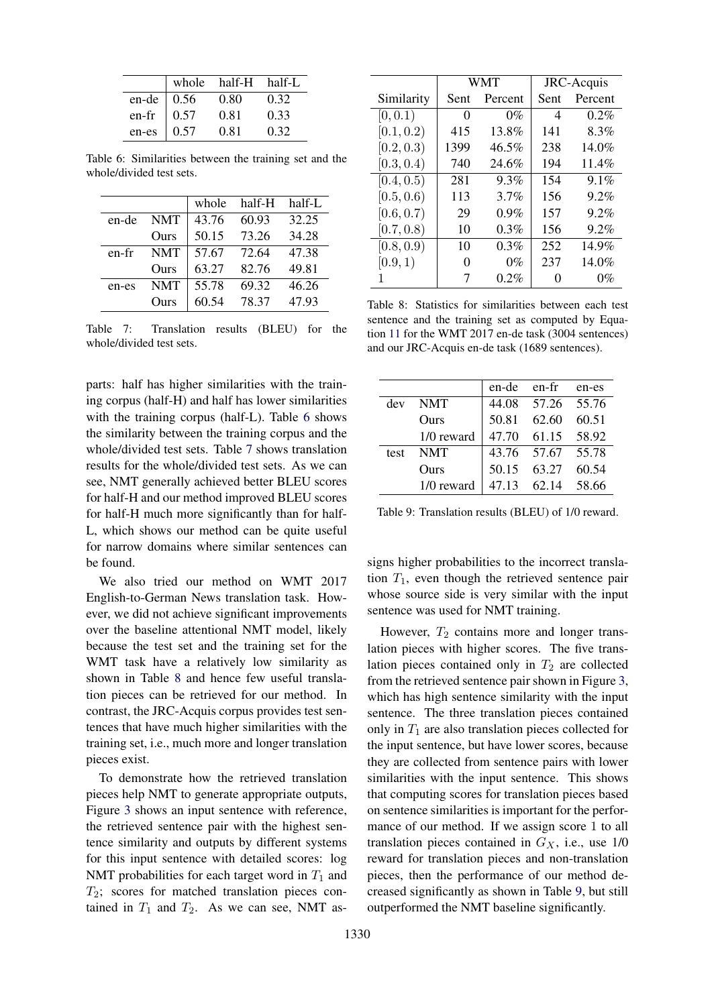|                          | whole half-H half-L |      |
|--------------------------|---------------------|------|
| en-de   $0.56$           | 0.80                | 0.32 |
| en-fr $\vert 0.57 \vert$ | 0.81                | 0.33 |
| en-es $\vert 0.57$       | 0.81                | 0.32 |

Table 6: Similarities between the training set and the whole/divided test sets.

|       |            | whole | half-H | half-L |
|-------|------------|-------|--------|--------|
| en-de | <b>NMT</b> | 43.76 | 60.93  | 32.25  |
|       | Ours       | 50.15 | 73.26  | 34.28  |
| en-fr | <b>NMT</b> | 57.67 | 72.64  | 47.38  |
|       | Ours       | 63.27 | 82.76  | 49.81  |
| en-es | <b>NMT</b> | 55.78 | 69.32  | 46.26  |
|       | Ours       | 60.54 | 78.37  | 47.93  |

Table 7: Translation results (BLEU) for the whole/divided test sets.

parts: half has higher similarities with the training corpus (half-H) and half has lower similarities with the training corpus (half-L). Table 6 shows the similarity between the training corpus and the whole/divided test sets. Table 7 shows translation results for the whole/divided test sets. As we can see, NMT generally achieved better BLEU scores for half-H and our method improved BLEU scores for half-H much more significantly than for half-L, which shows our method can be quite useful for narrow domains where similar sentences can be found.

We also tried our method on WMT 2017 English-to-German News translation task. However, we did not achieve significant improvements over the baseline attentional NMT model, likely because the test set and the training set for the WMT task have a relatively low similarity as shown in Table 8 and hence few useful translation pieces can be retrieved for our method. In contrast, the JRC-Acquis corpus provides test sentences that have much higher similarities with the training set, i.e., much more and longer translation pieces exist.

To demonstrate how the retrieved translation pieces help NMT to generate appropriate outputs, Figure 3 shows an input sentence with reference, the retrieved sentence pair with the highest sentence similarity and outputs by different systems for this input sentence with detailed scores: log NMT probabilities for each target word in  $T_1$  and  $T_2$ ; scores for matched translation pieces contained in  $T_1$  and  $T_2$ . As we can see, NMT as-

|            |      | WMT     |      | JRC-Acquis |
|------------|------|---------|------|------------|
| Similarity | Sent | Percent | Sent | Percent    |
| [0, 0.1)   | 0    | $0\%$   | 4    | $0.2\%$    |
| [0.1, 0.2) | 415  | 13.8%   | 141  | 8.3%       |
| [0.2, 0.3) | 1399 | 46.5%   | 238  | 14.0%      |
| [0.3, 0.4) | 740  | 24.6%   | 194  | 11.4%      |
| [0.4, 0.5) | 281  | 9.3%    | 154  | $9.1\%$    |
| [0.5, 0.6) | 113  | 3.7%    | 156  | $9.2\%$    |
| [0.6, 0.7) | 29   | $0.9\%$ | 157  | $9.2\%$    |
| [0.7, 0.8) | 10   | $0.3\%$ | 156  | $9.2\%$    |
| [0.8, 0.9) | 10   | $0.3\%$ | 252  | 14.9%      |
| [0.9, 1)   | 0    | $0\%$   | 237  | 14.0%      |
|            |      | $0.2\%$ |      | $0\%$      |

Table 8: Statistics for similarities between each test sentence and the training set as computed by Equation 11 for the WMT 2017 en-de task (3004 sentences) and our JRC-Acquis en-de task (1689 sentences).

|      |            | en-de en-fr |                   | en-es   |
|------|------------|-------------|-------------------|---------|
| dev  | <b>NMT</b> |             | 44.08 57.26 55.76 |         |
|      | Ours       | 50.81       | 62.60             | 60.51   |
|      | 1/0 reward |             | 47.70 61.15 58.92 |         |
| test | <b>NMT</b> |             | 43.76 57.67 55.78 |         |
|      | Ours       | 50.15       | 63.27             | 60.54   |
|      | 1/0 reward | 47.13       | 62.14             | - 58.66 |

Table 9: Translation results (BLEU) of 1/0 reward.

signs higher probabilities to the incorrect translation  $T_1$ , even though the retrieved sentence pair whose source side is very similar with the input sentence was used for NMT training.

However,  $T_2$  contains more and longer translation pieces with higher scores. The five translation pieces contained only in  $T_2$  are collected from the retrieved sentence pair shown in Figure 3, which has high sentence similarity with the input sentence. The three translation pieces contained only in  $T_1$  are also translation pieces collected for the input sentence, but have lower scores, because they are collected from sentence pairs with lower similarities with the input sentence. This shows that computing scores for translation pieces based on sentence similarities is important for the performance of our method. If we assign score 1 to all translation pieces contained in  $G_X$ , i.e., use 1/0 reward for translation pieces and non-translation pieces, then the performance of our method decreased significantly as shown in Table 9, but still outperformed the NMT baseline significantly.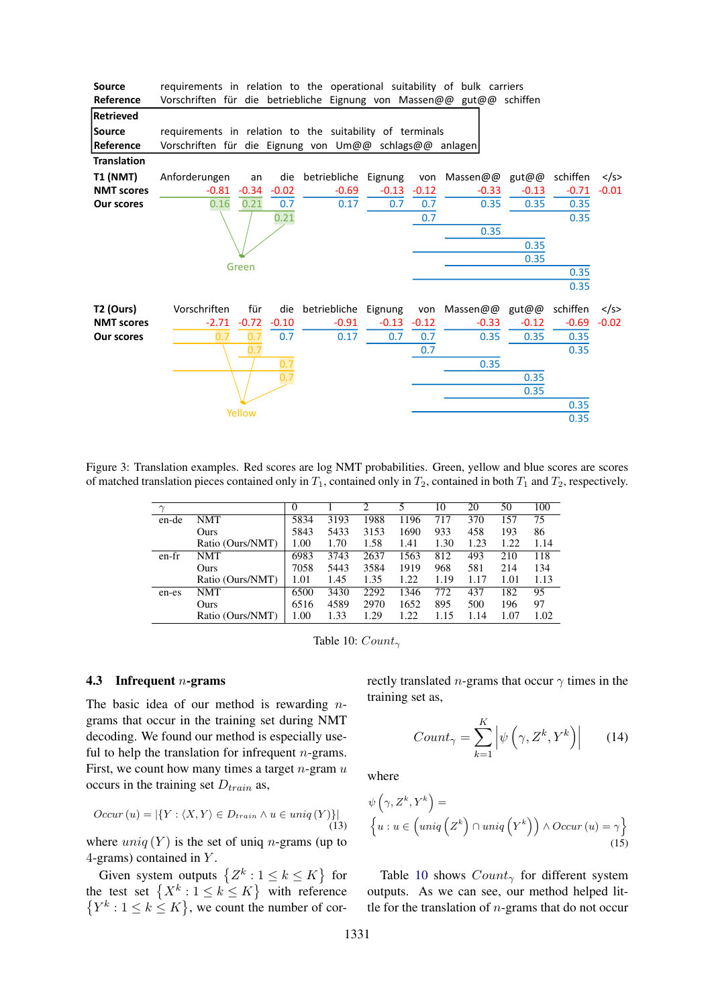| <b>Source</b>      | requirements in relation to the operational suitability of bulk carriers |         |         |                      |         |         |                    |         |          |               |
|--------------------|--------------------------------------------------------------------------|---------|---------|----------------------|---------|---------|--------------------|---------|----------|---------------|
| Reference          | Vorschriften für die betriebliche Eignung von Massen@@ gut@@ schiffen    |         |         |                      |         |         |                    |         |          |               |
| <b>Retrieved</b>   |                                                                          |         |         |                      |         |         |                    |         |          |               |
| Source             | requirements in relation to the suitability of terminals                 |         |         |                      |         |         |                    |         |          |               |
| Reference          | Vorschriften für die Eignung von Um@@ schlags@@ anlagen                  |         |         |                      |         |         |                    |         |          |               |
| <b>Translation</b> |                                                                          |         |         |                      |         |         |                    |         |          |               |
| <b>T1 (NMT)</b>    | Anforderungen                                                            | an      | die     | betriebliche Eignung |         |         | von Massen@@ gut@@ |         | schiffen | $\langle$ /s> |
| <b>NMT scores</b>  | $-0.81$                                                                  | $-0.34$ | $-0.02$ | $-0.69$              | $-0.13$ | $-0.12$ | $-0.33$            | $-0.13$ | $-0.71$  | $-0.01$       |
| <b>Our scores</b>  | 0.16                                                                     | 0.21    | 0.7     | 0.17                 | 0.7     | 0.7     | 0.35               | 0.35    | 0.35     |               |
|                    |                                                                          |         | 0.21    |                      |         | 0.7     |                    |         | 0.35     |               |
|                    |                                                                          |         |         |                      |         |         | 0.35               |         |          |               |
|                    |                                                                          |         |         |                      |         |         |                    | 0.35    |          |               |
|                    |                                                                          | Green   |         |                      |         |         |                    | 0.35    |          |               |
|                    |                                                                          |         |         |                      |         |         |                    |         | 0.35     |               |
|                    |                                                                          |         |         |                      |         |         |                    |         | 0.35     |               |
| T2 (Ours)          | Vorschriften                                                             | für     | die     | betriebliche Eignung |         |         | von Massen@@ gut@@ |         | schiffen | $\langle$ /s> |
| <b>NMT scores</b>  | $-2.71$                                                                  | $-0.72$ | $-0.10$ | $-0.91$              | $-0.13$ | $-0.12$ | $-0.33$            | $-0.12$ | $-0.69$  | $-0.02$       |
| <b>Our scores</b>  | 0.7                                                                      | 0.7     | 0.7     | 0.17                 | 0.7     | 0.7     | 0.35               | 0.35    | 0.35     |               |
|                    |                                                                          | 0.7     |         |                      |         | 0.7     |                    |         | 0.35     |               |
|                    |                                                                          |         | 0.7     |                      |         |         | 0.35               |         |          |               |
|                    |                                                                          |         | 0.7     |                      |         |         |                    | 0.35    |          |               |
|                    |                                                                          |         |         |                      |         |         |                    | 0.35    |          |               |
|                    |                                                                          | Yellow  |         |                      |         |         |                    |         | 0.35     |               |
|                    |                                                                          |         |         |                      |         |         |                    |         | 0.35     |               |

Figure 3: Translation examples. Red scores are log NMT probabilities. Green, yellow and blue scores are scores of matched translation pieces contained only in  $T_1$ , contained only in  $T_2$ , contained in both  $T_1$  and  $T_2$ , respectively.

|       |                  | $\theta$ |      | ◠    |      | 10   | 20   | 50   | 100  |
|-------|------------------|----------|------|------|------|------|------|------|------|
| en-de | NMT              | 5834     | 3193 | 1988 | 1196 | 717  | 370  | 157  | 75   |
|       | Ours             | 5843     | 5433 | 3153 | 1690 | 933  | 458  | 193  | 86   |
|       | Ratio (Ours/NMT) | 1.00     | 1.70 | 1.58 | 1.41 | 1.30 | 1.23 | 1.22 | 1.14 |
| en-fr | NMT              | 6983     | 3743 | 2637 | 1563 | 812  | 493  | 210  | 118  |
|       | Ours             | 7058     | 5443 | 3584 | 1919 | 968  | 581  | 214  | 134  |
|       | Ratio (Ours/NMT) | 1.01     | 1.45 | 1.35 | 1.22 | 1.19 | 1.17 | 1.01 | 1.13 |
| en-es | NMT              | 6500     | 3430 | 2292 | 1346 | 772  | 437  | 182  | 95   |
|       | Ours             | 6516     | 4589 | 2970 | 1652 | 895  | 500  | 196  | 97   |
|       | Ratio (Ours/NMT) | 1.00     | 1.33 | 1.29 | 1.22 | 1.15 | 14   | 1.07 | 1.02 |

Table 10:  $Count_{\gamma}$ 

#### 4.3 Infrequent n-grams

The basic idea of our method is rewarding  $n$ grams that occur in the training set during NMT decoding. We found our method is especially useful to help the translation for infrequent  $n$ -grams. First, we count how many times a target  $n$ -gram  $u$ occurs in the training set  $D_{train}$  as,

$$
Occur(u) = |\{Y : \langle X, Y \rangle \in D_{train} \land u \in uniq(Y)\}|
$$
\n(13)

where  $\text{uniq}(Y)$  is the set of uniq *n*-grams (up to 4-grams) contained in  $Y$ .

Given system outputs  $\{Z^k : 1 \leq k \leq K\}$  for the test set  $\{X^k : 1 \leq k \leq K\}$  with reference  $\{Y^k : 1 \leq k \leq K\}$ , we count the number of correctly translated *n*-grams that occur  $\gamma$  times in the training set as,

$$
Count_{\gamma} = \sum_{k=1}^{K} \left| \psi \left( \gamma, Z^{k}, Y^{k} \right) \right| \qquad (14)
$$

where

$$
\psi\left(\gamma, Z^k, Y^k\right) =
$$
\n
$$
\left\{u : u \in \left(\text{uniq}\left(Z^k\right) \cap \text{uniq}\left(Y^k\right)\right) \land Occur\left(u\right) = \gamma\right\}
$$
\n(15)

Table 10 shows  $Count_{\gamma}$  for different system outputs. As we can see, our method helped little for the translation of  $n$ -grams that do not occur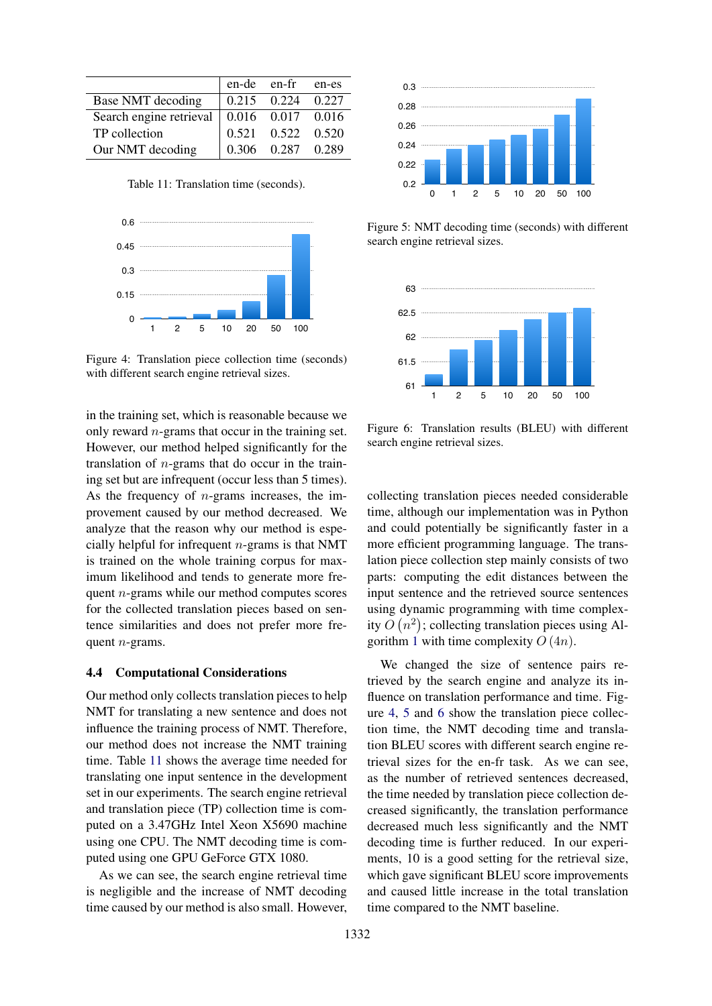|                         | en-de en-fr |                         | en-es |
|-------------------------|-------------|-------------------------|-------|
| Base NMT decoding       |             | $0.215$ $0.224$ $0.227$ |       |
| Search engine retrieval |             | 0.016 0.017 0.016       |       |
| TP collection           |             | $0.521$ $0.522$ $0.520$ |       |
| Our NMT decoding        |             | 0.306 0.287 0.289       |       |

Table 11: Translation time (seconds).



Figure 4: Translation piece collection time (seconds) with different search engine retrieval sizes.

in the training set, which is reasonable because we only reward  $n$ -grams that occur in the training set. However, our method helped significantly for the translation of  $n$ -grams that do occur in the training set but are infrequent (occur less than 5 times). As the frequency of  $n$ -grams increases, the improvement caused by our method decreased. We analyze that the reason why our method is especially helpful for infrequent  $n$ -grams is that NMT is trained on the whole training corpus for maximum likelihood and tends to generate more frequent n-grams while our method computes scores for the collected translation pieces based on sentence similarities and does not prefer more frequent n-grams. Table 11: Translation time (seconds).<br>
0.2<br>
0.6<br>
0.4<br>
0.5<br>
0.4<br>
0.5<br>
1.2<br>
1.2<br>
1.3<br>
1.2<br>
1.3<br>
1.2<br>
1.3<br>
1.2<br>
1.2<br>
1.3<br>
1.2<br>
1.3<br>
1.2<br>
1.2<br>
1.3<br>
1.2<br>
1.3<br>
1.4<br>
1.4<br>
1.2<br>
1.3<br>
1.4<br>
1.2<br>
1.2<br>
1.2<br>
1.3<br>
1.4<br>
1.3<br>
1.3<br>
1.4<br>
1.

#### 4.4 Computational Considerations

Our method only collects translation pieces to help NMT for translating a new sentence and does not influence the training process of NMT. Therefore, our method does not increase the NMT training time. Table 11 shows the average time needed for translating one input sentence in the development set in our experiments. The search engine retrieval and translation piece (TP) collection time is computed on a 3.47GHz Intel Xeon X5690 machine using one CPU. The NMT decoding time is computed using one GPU GeForce GTX 1080.

As we can see, the search engine retrieval time is negligible and the increase of NMT decoding



Figure 5: NMT decoding time (seconds) with different search engine retrieval sizes.



Figure 6: Translation results (BLEU) with different search engine retrieval sizes.

collecting translation pieces needed considerable time, although our implementation was in Python and could potentially be significantly faster in a more efficient programming language. The translation piece collection step mainly consists of two parts: computing the edit distances between the input sentence and the retrieved source sentences using dynamic programming with time complexity  $O(n^2)$ ; collecting translation pieces using Algorithm 1 with time complexity  $O(4n)$ .

We changed the size of sentence pairs retrieved by the search engine and analyze its influence on translation performance and time. Figure 4, 5 and 6 show the translation piece collection time, the NMT decoding time and translation BLEU scores with different search engine retrieval sizes for the en-fr task. As we can see, as the number of retrieved sentences decreased, the time needed by translation piece collection decreased significantly, the translation performance decreased much less significantly and the NMT decoding time is further reduced. In our experiments, 10 is a good setting for the retrieval size, which gave significant BLEU score improvements and caused little increase in the total translation time compared to the NMT baseline.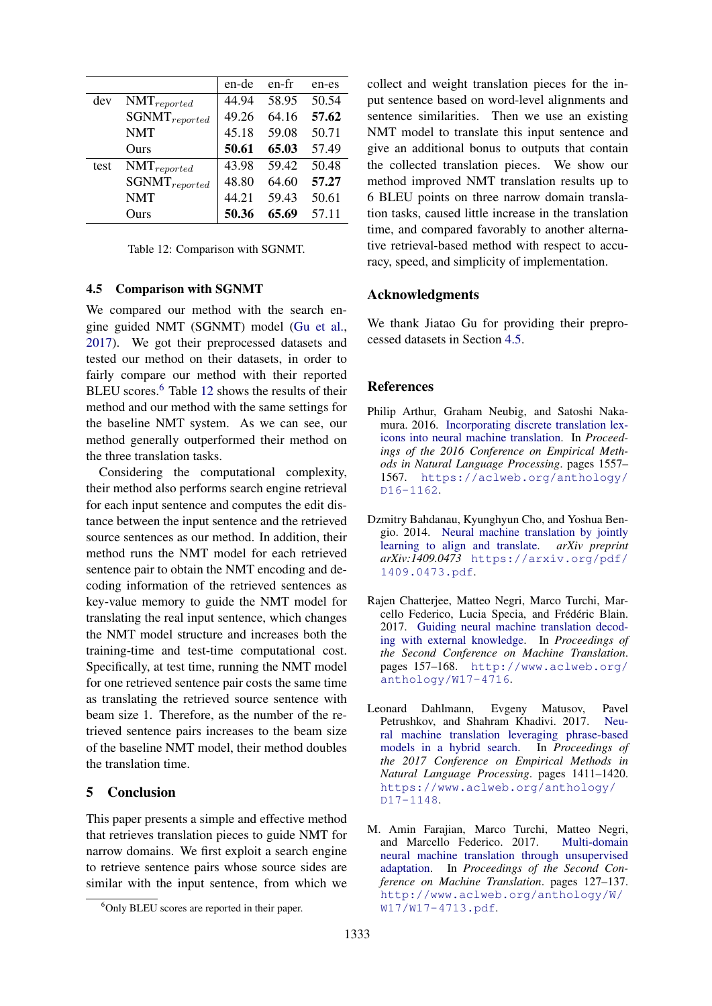|      |                    | en-de | en-fr | en-es |
|------|--------------------|-------|-------|-------|
| dev  | $NMT_{reported}$   | 44.94 | 58.95 | 50.54 |
|      | $SGNMT_{reported}$ | 49.26 | 64.16 | 57.62 |
|      | <b>NMT</b>         | 45.18 | 59.08 | 50.71 |
|      | Ours               | 50.61 | 65.03 | 57.49 |
| test | $NMT_{reported}$   | 43.98 | 59.42 | 50.48 |
|      | $SGNMT_{reported}$ | 48.80 | 64.60 | 57.27 |
|      | <b>NMT</b>         | 44.21 | 59.43 | 50.61 |
|      | Ours               | 50.36 | 65.69 | 57.11 |
|      |                    |       |       |       |

Table 12: Comparison with SGNMT.

#### 4.5 Comparison with SGNMT

We compared our method with the search engine guided NMT (SGNMT) model (Gu et al., 2017). We got their preprocessed datasets and tested our method on their datasets, in order to fairly compare our method with their reported BLEU scores.<sup>6</sup> Table 12 shows the results of their method and our method with the same settings for the baseline NMT system. As we can see, our method generally outperformed their method on the three translation tasks.

Considering the computational complexity, their method also performs search engine retrieval for each input sentence and computes the edit distance between the input sentence and the retrieved source sentences as our method. In addition, their method runs the NMT model for each retrieved sentence pair to obtain the NMT encoding and decoding information of the retrieved sentences as key-value memory to guide the NMT model for translating the real input sentence, which changes the NMT model structure and increases both the training-time and test-time computational cost. Specifically, at test time, running the NMT model for one retrieved sentence pair costs the same time as translating the retrieved source sentence with beam size 1. Therefore, as the number of the retrieved sentence pairs increases to the beam size of the baseline NMT model, their method doubles the translation time.

# 5 Conclusion

This paper presents a simple and effective method that retrieves translation pieces to guide NMT for narrow domains. We first exploit a search engine to retrieve sentence pairs whose source sides are similar with the input sentence, from which we collect and weight translation pieces for the input sentence based on word-level alignments and sentence similarities. Then we use an existing NMT model to translate this input sentence and give an additional bonus to outputs that contain the collected translation pieces. We show our method improved NMT translation results up to 6 BLEU points on three narrow domain translation tasks, caused little increase in the translation time, and compared favorably to another alternative retrieval-based method with respect to accuracy, speed, and simplicity of implementation.

#### Acknowledgments

We thank Jiatao Gu for providing their preprocessed datasets in Section 4.5.

### References

- Philip Arthur, Graham Neubig, and Satoshi Nakamura. 2016. Incorporating discrete translation lexicons into neural machine translation. In *Proceedings of the 2016 Conference on Empirical Methods in Natural Language Processing*. pages 1557– 1567. https://aclweb.org/anthology/ D16-1162.
- Dzmitry Bahdanau, Kyunghyun Cho, and Yoshua Bengio. 2014. Neural machine translation by jointly learning to align and translate. *arXiv preprint arXiv:1409.0473* https://arxiv.org/pdf/ 1409.0473.pdf.
- Rajen Chatterjee, Matteo Negri, Marco Turchi, Marcello Federico, Lucia Specia, and Frédéric Blain. 2017. Guiding neural machine translation decoding with external knowledge. In *Proceedings of the Second Conference on Machine Translation*. pages 157–168. http://www.aclweb.org/ anthology/W17-4716.
- Leonard Dahlmann, Evgeny Matusov, Pavel Petrushkov, and Shahram Khadivi. 2017. Neural machine translation leveraging phrase-based models in a hybrid search. In *Proceedings of the 2017 Conference on Empirical Methods in Natural Language Processing*. pages 1411–1420. https://www.aclweb.org/anthology/ D17-1148.
- M. Amin Farajian, Marco Turchi, Matteo Negri, and Marcello Federico. 2017. Multi-domain neural machine translation through unsupervised adaptation. In *Proceedings of the Second Conference on Machine Translation*. pages 127–137. http://www.aclweb.org/anthology/W/ W17/W17-4713.pdf.

<sup>&</sup>lt;sup>6</sup>Only BLEU scores are reported in their paper.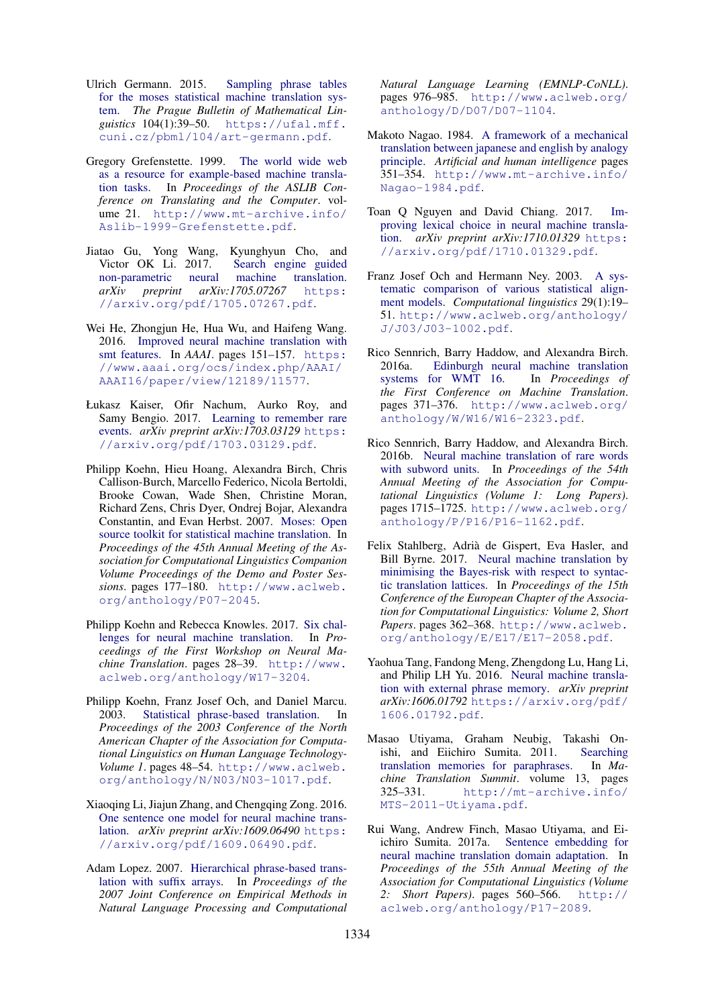- Ulrich Germann. 2015. Sampling phrase tables for the moses statistical machine translation system. *The Prague Bulletin of Mathematical Linguistics* 104(1):39–50. https://ufal.mff. cuni.cz/pbml/104/art-germann.pdf.
- Gregory Grefenstette. 1999. The world wide web as a resource for example-based machine translation tasks. In *Proceedings of the ASLIB Conference on Translating and the Computer*. volume 21. http://www.mt-archive.info/ Aslib-1999-Grefenstette.pdf.
- Jiatao Gu, Yong Wang, Kyunghyun Cho, and Victor OK Li. 2017. Search engine guided non-parametric neural machine translation. *arXiv preprint arXiv:1705.07267* https: //arxiv.org/pdf/1705.07267.pdf.
- Wei He, Zhongjun He, Hua Wu, and Haifeng Wang. 2016. Improved neural machine translation with smt features. In *AAAI*. pages 151–157. https: //www.aaai.org/ocs/index.php/AAAI/ AAAI16/paper/view/12189/11577.
- Łukasz Kaiser, Ofir Nachum, Aurko Roy, and Samy Bengio. 2017. Learning to remember rare events. *arXiv preprint arXiv:1703.03129* https: //arxiv.org/pdf/1703.03129.pdf.
- Philipp Koehn, Hieu Hoang, Alexandra Birch, Chris Callison-Burch, Marcello Federico, Nicola Bertoldi, Brooke Cowan, Wade Shen, Christine Moran, Richard Zens, Chris Dyer, Ondrej Bojar, Alexandra Constantin, and Evan Herbst. 2007. Moses: Open source toolkit for statistical machine translation. In *Proceedings of the 45th Annual Meeting of the Association for Computational Linguistics Companion Volume Proceedings of the Demo and Poster Sessions*. pages 177–180. http://www.aclweb. org/anthology/P07-2045.
- Philipp Koehn and Rebecca Knowles. 2017. Six challenges for neural machine translation. In *Proceedings of the First Workshop on Neural Machine Translation*. pages 28–39. http://www. aclweb.org/anthology/W17-3204.
- Philipp Koehn, Franz Josef Och, and Daniel Marcu. 2003. Statistical phrase-based translation. In *Proceedings of the 2003 Conference of the North American Chapter of the Association for Computational Linguistics on Human Language Technology-Volume 1*. pages 48–54. http://www.aclweb. org/anthology/N/N03/N03-1017.pdf.
- Xiaoqing Li, Jiajun Zhang, and Chengqing Zong. 2016. One sentence one model for neural machine translation. *arXiv preprint arXiv:1609.06490* https: //arxiv.org/pdf/1609.06490.pdf.
- Adam Lopez. 2007. Hierarchical phrase-based translation with suffix arrays. In *Proceedings of the 2007 Joint Conference on Empirical Methods in Natural Language Processing and Computational*

*Natural Language Learning (EMNLP-CoNLL)*. pages 976–985. http://www.aclweb.org/ anthology/D/D07/D07-1104.

- Makoto Nagao. 1984. A framework of a mechanical translation between japanese and english by analogy principle. *Artificial and human intelligence* pages 351–354. http://www.mt-archive.info/ Nagao-1984.pdf.
- Toan Q Nguyen and David Chiang. 2017. Improving lexical choice in neural machine translation. *arXiv preprint arXiv:1710.01329* https: //arxiv.org/pdf/1710.01329.pdf.
- Franz Josef Och and Hermann Ney. 2003. A systematic comparison of various statistical alignment models. *Computational linguistics* 29(1):19– 51. http://www.aclweb.org/anthology/ J/J03/J03-1002.pdf.
- Rico Sennrich, Barry Haddow, and Alexandra Birch. 2016a. Edinburgh neural machine translation systems for WMT 16. In *Proceedings of the First Conference on Machine Translation*. pages 371–376. http://www.aclweb.org/ anthology/W/W16/W16-2323.pdf.
- Rico Sennrich, Barry Haddow, and Alexandra Birch. 2016b. Neural machine translation of rare words with subword units. In *Proceedings of the 54th Annual Meeting of the Association for Computational Linguistics (Volume 1: Long Papers)*. pages 1715–1725. http://www.aclweb.org/ anthology/P/P16/P16-1162.pdf.
- Felix Stahlberg, Adria de Gispert, Eva Hasler, and ` Bill Byrne. 2017. Neural machine translation by minimising the Bayes-risk with respect to syntactic translation lattices. In *Proceedings of the 15th Conference of the European Chapter of the Association for Computational Linguistics: Volume 2, Short Papers*. pages 362–368. http://www.aclweb. org/anthology/E/E17/E17-2058.pdf.
- Yaohua Tang, Fandong Meng, Zhengdong Lu, Hang Li, and Philip LH Yu. 2016. Neural machine translation with external phrase memory. *arXiv preprint arXiv:1606.01792* https://arxiv.org/pdf/ 1606.01792.pdf.
- Masao Utiyama, Graham Neubig, Takashi Onishi, and Eiichiro Sumita. 2011. Searching translation memories for paraphrases. In *Machine Translation Summit*. volume 13, pages 325–331. http://mt-archive.info/ MTS-2011-Utiyama.pdf.
- Rui Wang, Andrew Finch, Masao Utiyama, and Eiichiro Sumita. 2017a. Sentence embedding for neural machine translation domain adaptation. In *Proceedings of the 55th Annual Meeting of the Association for Computational Linguistics (Volume 2: Short Papers)*. pages 560–566. http:// aclweb.org/anthology/P17-2089.